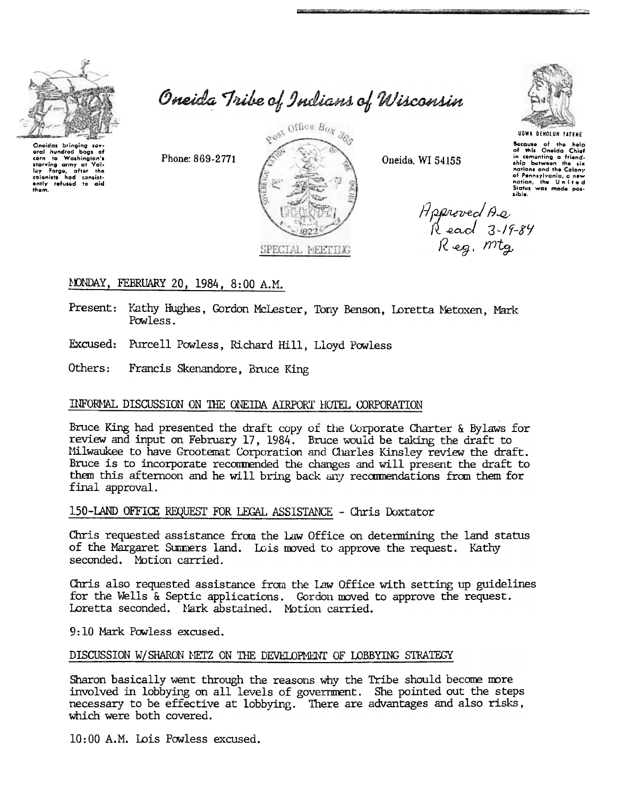

corn to Washington's

corn to Washington's<br>starving army at Vai-<br>lay Ferge, after the<br>colonists had consist-<br>ently refused to aid

bags of

oral hundred

thom.

Oneida Tribe of Indians of Wisconsin



Oneida, WI 54155

UGWA DENOLUN YATENE

Bocause of the help<br>of this Oneida Chief<br>in cementing a friend-In communing a triang-<br>ship between the six<br>nations and the Colony<br>of Pennsylvania, a new<br>status was made pos-<br>sible.

Approved As<br>Read 3-19-84<br>Reg. mtg.

# MONDAY, FEBRUARY 20, 1984, 8:00 A.M.

Phone: 869-2771

Present: Kathy Hughes, Gordon McLester, Tony Benson, Loretta Metoxen, Mark Powless.

Excused: Purcell Powless, Richard Hill, Lloyd Powless

Others: Francis Skenandore, Bruce King

## INFORMAL DISCUSSION ON THE ONEIDA AIRPORT HOTEL CORPORATION

Bruce King had presented the draft copy of the Corporate Charter & Bylaws for review and input on February 17, 1984. Bruce would be taking the draft to Milwaukee to have Grootemat Corporation and Charles Kinsley review the draft. Bruce is to incorporate recommended the changes and will present the draft to them this afternoon and he will bring back any recommendations from them for final approval.

## 150-LAND OFFICE REQUEST FOR LEGAL ASSISTANCE - Chris Doxtator

Chris requested assistance from the Law Office on determining the land status of the Margaret Summers land. Lois moved to approve the request. Kathy seconded. Motion carried.

Chris also requested assistance from the Law Office with setting up guidelines for the Wells & Septic applications. Gordon moved to approve the request. Loretta seconded. Mark abstained. Motion carried.

9:10 Mark Powless excused.

### DISCUSSION W/SHARON METZ ON THE DEVELOPMENT OF LOBBYING STRATEGY

Sharon basically went through the reasons why the Tribe should become more involved in lobbying on all levels of government. She pointed out the steps necessary to be effective at lobbying. There are advantages and also risks, which were both covered.

10:00 A.M. Lois Powless excused.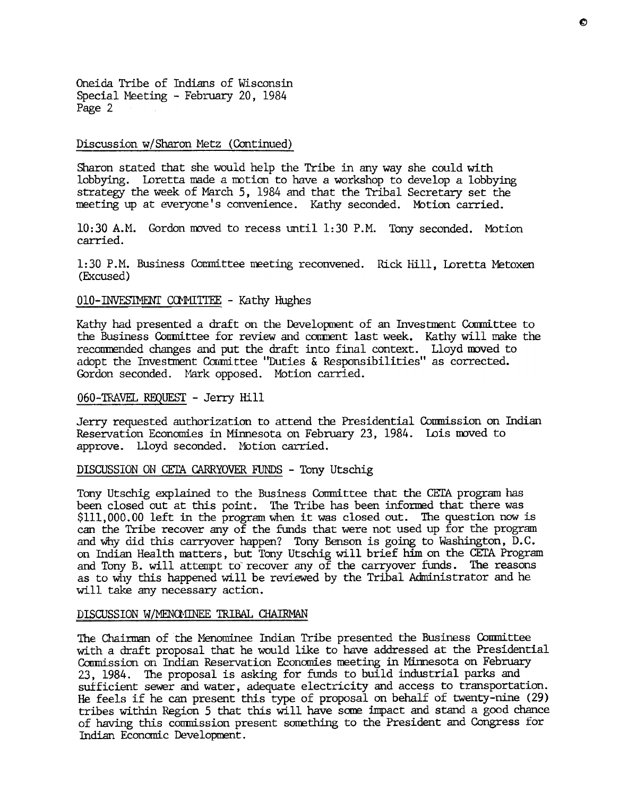Oneida Tribe of Indians of Wisconsin Special Meeting - February 20, 1984 Page 2

#### Discussion w/Sharon Metz (Continued)

Sharon stated that she would help the Tribe in any way she could with lobbying. Loretta made a motion to have a workshop to develop a lobbying strategy the week of March 5, 1984 and that the Tribal Secretary set the meeting up at everyone's convenience. Kathy seconded. Motion carried.

10:30 A.M. Gordon moved to recess until 1:30 P.M. Tony seconded. Motior carried.

1:30 P.M. Business Committee meeting reconvened. Rick Hill, Loretta Metoxen (Excused)

#### 010-INVESIMENT COMMITTEE - Kathy Hughes

Kathy had presented a draft on the Development of an Investment Committee to the Business Committee for review and comment last week. Kathy will make the recommended changes and put the draft into final context. Lloyd moved to adopt the Investment Committee "Duties & Responsibilities" as corrected. Gordon seconded. Mark opposed. Motion carried.

## 060-TRAVEL REQUEST -Jerry Hill

Jerry requested authorization to attend the Presidential Conmission on Indian Reservation Economies in Minnesota on February 23, 1984. Lois moved to approve. Lloyd seconded. Motion carried.

#### DISCUSSION ON CETA CARRYOVER FUNDS - Tony Utschig

Tony Utschig explained to the Business Committee that the CETA program has been closed out at this point. The Tribe has been inforned that there was \$111,000.00 left in the program When it was closed out. The question now is can the Tribe recover any of the funds that were not used up for the program and why did this carryover happen? Tony Benson is going to Washington, D.C. on Indian Health matters, but Tony Utschig will brief him on the CErA Program and Tony B. will attempt to recover any of the carryover funds. The reasons as to why this happened will be reviewed by the Tribal Administrator and he will take any necessary action.

#### DISCUSSION W/MENOMINEE TRIBAL CHAIRMAN

The Chairman of the Menominee Indian Tribe presented the Business Committee with a draft proposal that he would like to have addressed at the Presidential Conmission on Indian Reservation Economies meeting in Minnesota on February 23, 1984. The proposal is asking for ftmds to build industrial parks and sufficient sewer and water, adequate electricity and access to transportation. He feels if he can present this type of proposal on behalf of twenty-nine (29) tribes within Region 5 that this will have some impact and stand a good chance of having this commission present something to the President and Congress for Indian Economic Development.